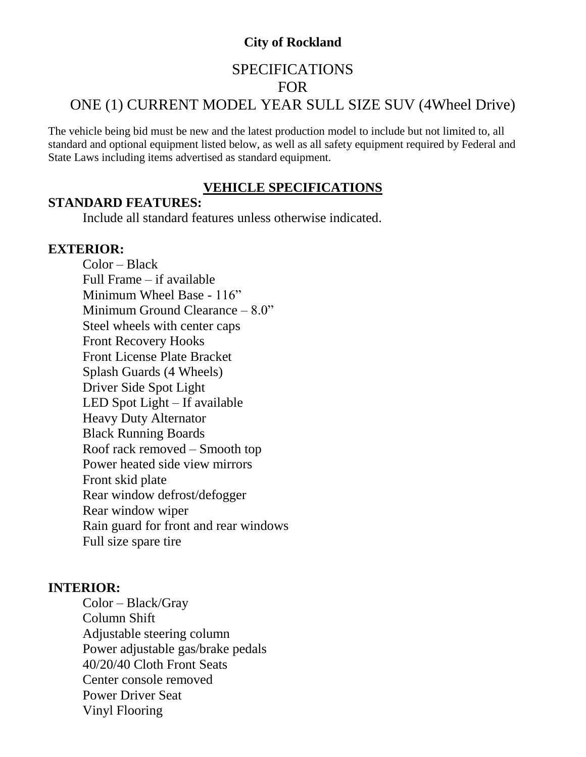# **City of Rockland**

# SPECIFICATIONS FOR ONE (1) CURRENT MODEL YEAR SULL SIZE SUV (4Wheel Drive)

The vehicle being bid must be new and the latest production model to include but not limited to, all standard and optional equipment listed below, as well as all safety equipment required by Federal and State Laws including items advertised as standard equipment.

## **VEHICLE SPECIFICATIONS**

#### **STANDARD FEATURES:**

Include all standard features unless otherwise indicated.

# **EXTERIOR:**

Color – Black Full Frame – if available Minimum Wheel Base - 116" Minimum Ground Clearance – 8.0" Steel wheels with center caps Front Recovery Hooks Front License Plate Bracket Splash Guards (4 Wheels) Driver Side Spot Light LED Spot Light – If available Heavy Duty Alternator Black Running Boards Roof rack removed – Smooth top Power heated side view mirrors Front skid plate Rear window defrost/defogger Rear window wiper Rain guard for front and rear windows Full size spare tire

## **INTERIOR:**

Color – Black/Gray Column Shift Adjustable steering column Power adjustable gas/brake pedals 40/20/40 Cloth Front Seats Center console removed Power Driver Seat Vinyl Flooring